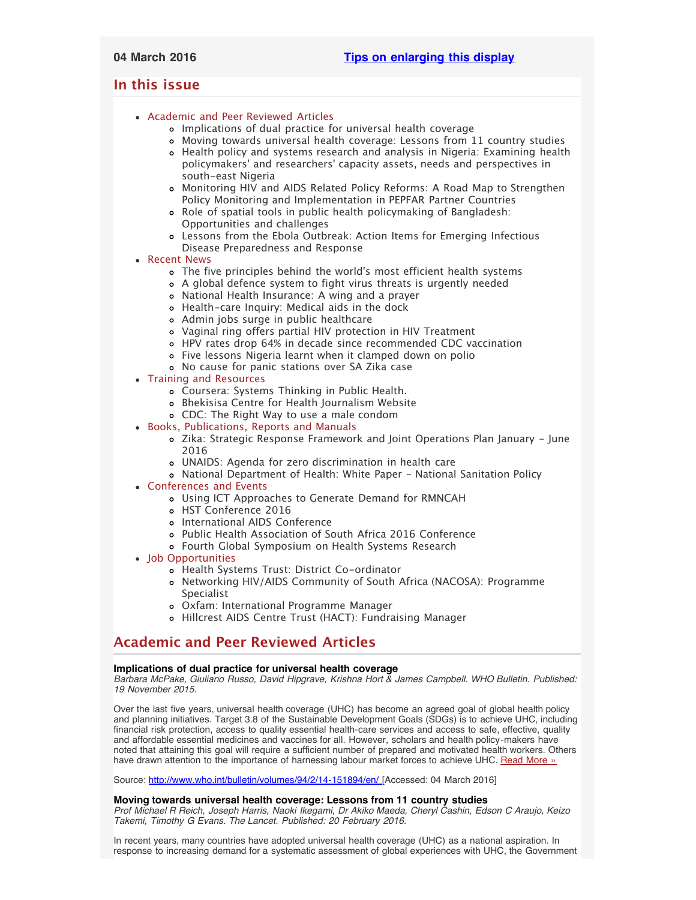# <span id="page-0-3"></span><span id="page-0-2"></span>**In this issue**

- [Academic and Peer Reviewed Articles](#page-0-0)
	- [Implications of dual practice for universal health coverage](#page-0-1)
	- [Moving towards universal health coverage: Lessons from 11 country studies](#page-0-1)
	- [Health policy and systems research and analysis in Nigeria: Examining health](#page-1-0) policymakers[' and researchers' capacity assets, needs and perspectives in](#page-1-0) [south-east Nigeria](#page-1-0)
	- [Monitoring HIV and AIDS Related Policy Reforms: A Road Map to Strengthen](#page-1-0) [Policy Monitoring and Implementation in PEPFAR Partner Countries](#page-1-0)
	- [Role of spatial tools in public health policymaking of Bangladesh:](#page-1-0) [Opportunities and challenges](#page-1-0)
	- [Lessons from the Ebola Outbreak: Action Items for Emerging Infectious](#page-1-0) [Disease Preparedness and Response](#page-1-0)
- [Recent News](#page-1-1)
	- The five principles behind the world['s most efficient health systems](#page-2-0)
	- [A global defence system to fight virus threats is urgently needed](#page-2-0)
	- [National Health Insurance: A wing and a prayer](#page-2-1)
	- [Health-care Inquiry: Medical aids in the dock](#page-3-0)
	- [Admin jobs surge in public healthcare](#page-2-2)
	- [Vaginal ring offers partial HIV protection in HIV Treatment](#page-0-2)
	- [HPV rates drop 64% in decade since recommended CDC vaccination](#page-2-1)
	- [Five lessons Nigeria learnt when it clamped down on polio](#page-3-0)
	- [No cause for panic stations over SA Zika case](#page-3-0)
- [Training and Resources](#page-4-0)
	- [Coursera: Systems Thinking in Public Health.](#page-3-1)
	- [Bhekisisa Centre for Health Journalism Website](#page-3-1)
	- [CDC: The Right Way to use a male condom](#page-3-1)
- [Books, Publications, Reports and Manuals](#page-3-2)
	- [Zika: Strategic Response Framework and Joint Operations Plan January June](#page-3-3) [2016](#page-3-3)
	- [UNAIDS: Agenda for zero discrimination in health care](#page-3-3)
	- [National Department of Health: White Paper National Sanitation Policy](#page-3-3)
- [Conferences and Events](#page-3-4)
	- [Using ICT Approaches to Generate Demand for RMNCAH](#page-4-1)
	- [HST Conference 2016](#page-4-1)
	- [International AIDS Conference](#page-4-1)
	- [Public Health Association of South Africa 2016 Conference](#page-4-1)
	- [Fourth Global Symposium on Health Systems Research](#page-0-2)
- [Job Opportunities](#page-0-2)
	- [Health Systems Trust: District Co-ordinator](#page-4-2)
	- [Networking HIV/AIDS Community of South Africa \(NACOSA\): Programme](#page-4-2) [Specialist](#page-4-2)
	- [Oxfam: International Programme Manager](#page-4-3)
	- [Hillcrest AIDS Centre Trust \(HACT\): Fundraising Manager](#page-4-3)

# <span id="page-0-0"></span>**Academic and Peer Reviewed Articles**

## **Implications of dual practice for universal health coverage**

*Barbara McPake, Giuliano Russo, David Hipgrave, Krishna Hort & James Campbell. WHO Bulletin. Published: 19 November 2015.*

Over the last five years, universal health coverage (UHC) has become an agreed goal of global health policy and planning initiatives. Target 3.8 of the Sustainable Development Goals (SDGs) is to achieve UHC, including financial risk protection, access to quality essential health-care services and access to safe, effective, quality and affordable essential medicines and vaccines for all. However, scholars and health policy-makers have noted that attaining this goal will require a sufficient number of prepared and motivated health workers. Others have drawn attention to the importance of harnessing labour market forces to achieve UHC. [Read More »](http://www.who.int/bulletin/volumes/94/2/14-151894/en/)

Source: [http://www.who.int/bulletin/volumes/94/2/14-151894/en/ \[](http://www.who.int/bulletin/volumes/94/2/14-151894/en/)Accessed: 04 March 2016]

## <span id="page-0-1"></span>**Moving towards universal health coverage: Lessons from 11 country studies**

*Prof Michael R Reich, Joseph Harris, Naoki Ikegami, Dr Akiko Maeda, Cheryl Cashin, Edson C Araujo, Keizo Takemi, Timothy G Evans. The Lancet. Published: 20 February 2016.*

In recent years, many countries have adopted universal health coverage (UHC) as a national aspiration. In response to increasing demand for a systematic assessment of global experiences with UHC, the Government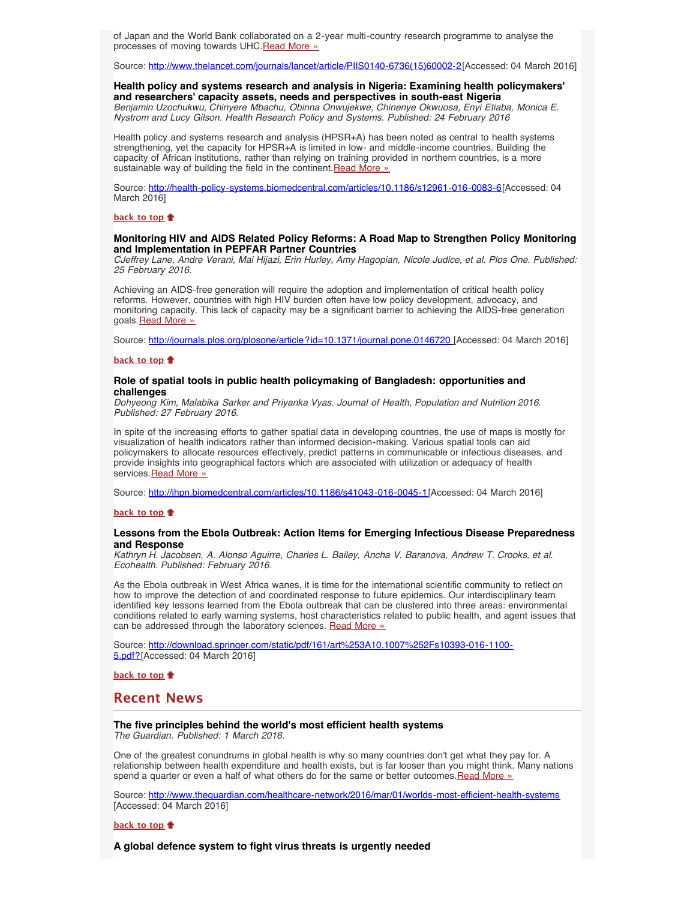of Japan and the World Bank collaborated on a 2-year multi-country research programme to analyse the processes of moving towards UHC. Read More »

Source: [http://www.thelancet.com/journals/lancet/article/PIIS0140-6736\(15\)60002-2\[](http://www.thelancet.com/journals/lancet/article/PIIS0140-6736(15)60002-2/fulltext)Accessed: 04 March 2016]

## **Health policy and systems research and analysis in Nigeria: Examining health policymakers' and researchers' capacity assets, needs and perspectives in south-east Nigeria**

*Benjamin Uzochukwu, Chinyere Mbachu, Obinna Onwujekwe, Chinenye Okwuosa, Enyi Etiaba, Monica E. Nystrom and Lucy Gilson. Health Research Policy and Systems. Published: 24 February 2016*

Health policy and systems research and analysis (HPSR+A) has been noted as central to health systems strengthening, yet the capacity for HPSR+A is limited in low- and middle-income countries. Building the capacity of African institutions, rather than relying on training provided in northern countries, is a more sustainable way of building the field in the continent. [Read More »](http://health-policy-systems.biomedcentral.com/articles/10.1186/s12961-016-0083-6)

Source: <http://health-policy-systems.biomedcentral.com/articles/10.1186/s12961-016-0083-6>[Accessed: 04 March 2016]

#### **[back to top](#page-0-3)**

### **Monitoring HIV and AIDS Related Policy Reforms: A Road Map to Strengthen Policy Monitoring and Implementation in PEPFAR Partner Countries**

*CJeffrey Lane, Andre Verani, Mai Hijazi, Erin Hurley, Amy Hagopian, Nicole Judice, et al. Plos One. Published: 25 February 2016.*

Achieving an AIDS-free generation will require the adoption and implementation of critical health policy reforms. However, countries with high HIV burden often have low policy development, advocacy, and monitoring capacity. This lack of capacity may be a significant barrier to achieving the AIDS-free generation goals. [Read More »](http://journals.plos.org/plosone/article?id=10.1371/journal.pone.0146720)

Source: [http://journals.plos.org/plosone/article?id=10.1371/journal.pone.0146720 \[](http://journals.plos.org/plosone/article?id=10.1371/journal.pone.0146720)Accessed: 04 March 2016]

#### **[back to top](#page-0-3)**

## **Role of spatial tools in public health policymaking of Bangladesh: opportunities and challenges**

*Dohyeong Kim, Malabika Sarker and Priyanka Vyas. Journal of Health, Population and Nutrition 2016. Published: 27 February 2016.*

In spite of the increasing efforts to gather spatial data in developing countries, the use of maps is mostly for visualization of health indicators rather than informed decision-making. Various spatial tools can aid policymakers to allocate resources effectively, predict patterns in communicable or infectious diseases, and provide insights into geographical factors which are associated with utilization or adequacy of health services. [Read More »](http://jhpn.biomedcentral.com/articles/10.1186/s41043-016-0045-1)

Source: [http://jhpn.biomedcentral.com/articles/10.1186/s41043-016-0045-1\[](http://jhpn.biomedcentral.com/articles/10.1186/s41043-016-0045-1)Accessed: 04 March 2016]

#### **[back to top](#page-0-3)**

## <span id="page-1-0"></span>**Lessons from the Ebola Outbreak: Action Items for Emerging Infectious Disease Preparedness and Response**

*Kathryn H. Jacobsen, A. Alonso Aguirre, Charles L. Bailey, Ancha V. Baranova, Andrew T. Crooks, et al. Ecohealth. Published: February 2016.*

As the Ebola outbreak in West Africa wanes, it is time for the international scientific community to reflect on how to improve the detection of and coordinated response to future epidemics. Our interdisciplinary team identified key lessons learned from the Ebola outbreak that can be clustered into three areas: environmental conditions related to early warning systems, host characteristics related to public health, and agent issues that can be addressed through the laboratory sciences. [Read More »](http://download.springer.com/static/pdf/161/art%253A10.1007%252Fs10393-016-1100-5.pdf?originUrl=http%3A%2F%2Flink.springer.com%2Farticle%2F10.1007%2Fs10393-016-1100-5&token2=exp=1457017042~acl=%2Fstatic%2Fpdf%2F161%2Fart%25253A10.1007%25252Fs10393-016-1100-5.pdf%3ForiginUrl%3Dhttp%253A%252F%252Flink.springer.com%252Farticle%252F10.1007%252Fs10393-016-1100-5*~hmac=5ac0c22f436ff3d412b2c4dbced23131f3a6843cae7de35284f59b8f6171ed24)

Source: [http://download.springer.com/static/pdf/161/art%253A10.1007%252Fs10393-016-1100-](http://download.springer.com/static/pdf/161/art%253A10.1007%252Fs10393-016-1100-5.pdf?originUrl=http%3A%2F%2Flink.springer.com%2Farticle%2F10.1007%2Fs10393-016-1100-5&token2=exp=1457017042~acl=%2Fstatic%2Fpdf%2F161%2Fart%25253A10.1007%25252Fs10393-016-1100-5.pdf%3ForiginUrl%3Dhttp%253A%252F%252Flink.springer.com%252Farticle%252F10.1007%252Fs10393-016-1100-5*~hmac=5ac0c22f436ff3d412b2c4dbced23131f3a6843cae7de35284f59b8f6171ed24) [5.pdf?](http://download.springer.com/static/pdf/161/art%253A10.1007%252Fs10393-016-1100-5.pdf?originUrl=http%3A%2F%2Flink.springer.com%2Farticle%2F10.1007%2Fs10393-016-1100-5&token2=exp=1457017042~acl=%2Fstatic%2Fpdf%2F161%2Fart%25253A10.1007%25252Fs10393-016-1100-5.pdf%3ForiginUrl%3Dhttp%253A%252F%252Flink.springer.com%252Farticle%252F10.1007%252Fs10393-016-1100-5*~hmac=5ac0c22f436ff3d412b2c4dbced23131f3a6843cae7de35284f59b8f6171ed24)[Accessed: 04 March 2016]

**[back to top](#page-0-3)**

## <span id="page-1-1"></span>**Recent News**

## **The five principles behind the world's most efficient health systems**

*The Guardian. Published: 1 March 2016.*

One of the greatest conundrums in global health is why so many countries don't get what they pay for. A relationship between health expenditure and health exists, but is far looser than you might think. Many nations spend a quarter or even a half of what others do for the same or better outcomes. Read More »

Source: <http://www.theguardian.com/healthcare-network/2016/mar/01/worlds-most-efficient-health-systems> [Accessed: 04 March 2016]

#### **[back to top](#page-0-3)**

**A global defence system to fight virus threats is urgently needed**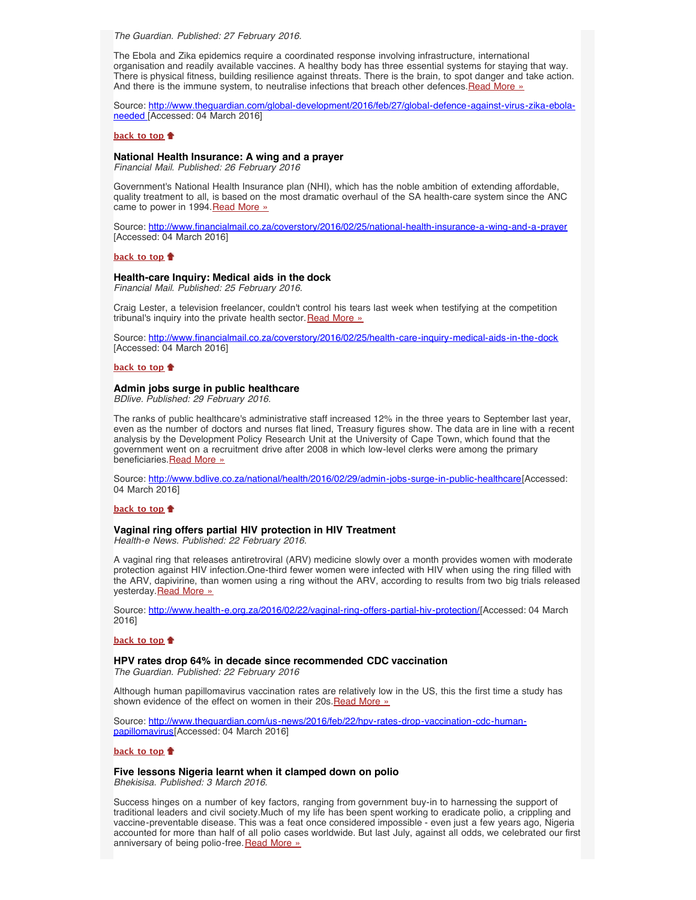<span id="page-2-0"></span>*The Guardian. Published: 27 February 2016.*

The Ebola and Zika epidemics require a coordinated response involving infrastructure, international organisation and readily available vaccines. A healthy body has three essential systems for staying that way. There is physical fitness, building resilience against threats. There is the brain, to spot danger and take action. And there is the immune system, to neutralise infections that breach other defences. [Read More »](http://www.hst.org.za/news/global-defence-system-fight-virus-threats-urgently-needed)

Source: [http://www.theguardian.com/global-development/2016/feb/27/global-defence-against-virus-zika-ebola](http://www.theguardian.com/global-development/2016/feb/27/global-defence-against-virus-zika-ebola-needed)[needed](http://www.theguardian.com/global-development/2016/feb/27/global-defence-against-virus-zika-ebola-needed) [Accessed: 04 March 2016]

#### **[back to top](#page-0-3)**

## **National Health Insurance: A wing and a prayer**

*Financial Mail. Published: 26 February 2016*

Government's National Health Insurance plan (NHI), which has the noble ambition of extending affordable, quality treatment to all, is based on the most dramatic overhaul of the SA health-care system since the ANC came to power in 1994.[Read More »](http://www.hst.org.za/news/national-health-insurance-wing-and-prayer)

Source: <http://www.financialmail.co.za/coverstory/2016/02/25/national-health-insurance-a-wing-and-a-prayer> [Accessed: 04 March 2016]

#### **[back to top](#page-0-3)**

#### **Health-care Inquiry: Medical aids in the dock**

*Financial Mail. Published: 25 February 2016.*

Craig Lester, a television freelancer, couldn't control his tears last week when testifying at the competition tribunal's inquiry into the private health sector. [Read More »](http://www.hst.org.za/news/health-care-inquiry-medical-aids-dock)

Source: <http://www.financialmail.co.za/coverstory/2016/02/25/health-care-inquiry-medical-aids-in-the-dock> [Accessed: 04 March 2016]

### **[back to top](#page-0-3)**

#### <span id="page-2-2"></span>**Admin jobs surge in public healthcare**

*BDlive. Published: 29 February 2016.*

The ranks of public healthcare's administrative staff increased 12% in the three years to September last year, even as the number of doctors and nurses flat lined, Treasury figures show. The data are in line with a recent analysis by the Development Policy Research Unit at the University of Cape Town, which found that the government went on a recruitment drive after 2008 in which low-level clerks were among the primary beneficiaries.[Read More »](http://www.hst.org.za/news/admin-jobs-surge-public-healthcare)

Source: [http://www.bdlive.co.za/national/health/2016/02/29/admin-jobs-surge-in-public-healthcare\[](http://www.bdlive.co.za/national/health/2016/02/29/admin-jobs-surge-in-public-healthcare)Accessed: 04 March 2016]

#### **[back to top](#page-0-3)**

## **Vaginal ring offers partial HIV protection in HIV Treatment**

*Health-e News. Published: 22 February 2016.*

A vaginal ring that releases antiretroviral (ARV) medicine slowly over a month provides women with moderate protection against HIV infection.One-third fewer women were infected with HIV when using the ring filled with the ARV, dapivirine, than women using a ring without the ARV, according to results from two big trials released yesterday. Read More »

Source: [http://www.health-e.org.za/2016/02/22/vaginal-ring-offers-partial-hiv-protection/\[](http://www.health-e.org.za/2016/02/22/vaginal-ring-offers-partial-hiv-protection/)Accessed: 04 March 2016]

#### **[back to top](#page-0-3)**

## <span id="page-2-1"></span>**HPV rates drop 64% in decade since recommended CDC vaccination**

*The Guardian. Published: 22 February 2016*

Although human papillomavirus vaccination rates are relatively low in the US, this the first time a study has shown evidence of the effect on women in their 20s. [Read More »](http://www.hst.org.za/news/hpv-rates-drop-64-decade-recommended-cdc-vaccination)

Source: [http://www.theguardian.com/us-news/2016/feb/22/hpv-rates-drop-vaccination-cdc-human](http://www.theguardian.com/us-news/2016/feb/22/hpv-rates-drop-vaccination-cdc-human-papillomavirus)[papillomavirus](http://www.theguardian.com/us-news/2016/feb/22/hpv-rates-drop-vaccination-cdc-human-papillomavirus)[Accessed: 04 March 2016]

## **[back to top](#page-0-3)**

## **Five lessons Nigeria learnt when it clamped down on polio**

*Bhekisisa. Published: 3 March 2016.*

Success hinges on a number of key factors, ranging from government buy-in to harnessing the support of traditional leaders and civil society.Much of my life has been spent working to eradicate polio, a crippling and vaccine-preventable disease. This was a feat once considered impossible - even just a few years ago, Nigeria accounted for more than half of all polio cases worldwide. But last July, against all odds, we celebrated our first anniversary of being polio-free. [Read More »](http://www.hst.org.za/news/five-lessons-nigeria-learnt-when-it-clamped-down-polio)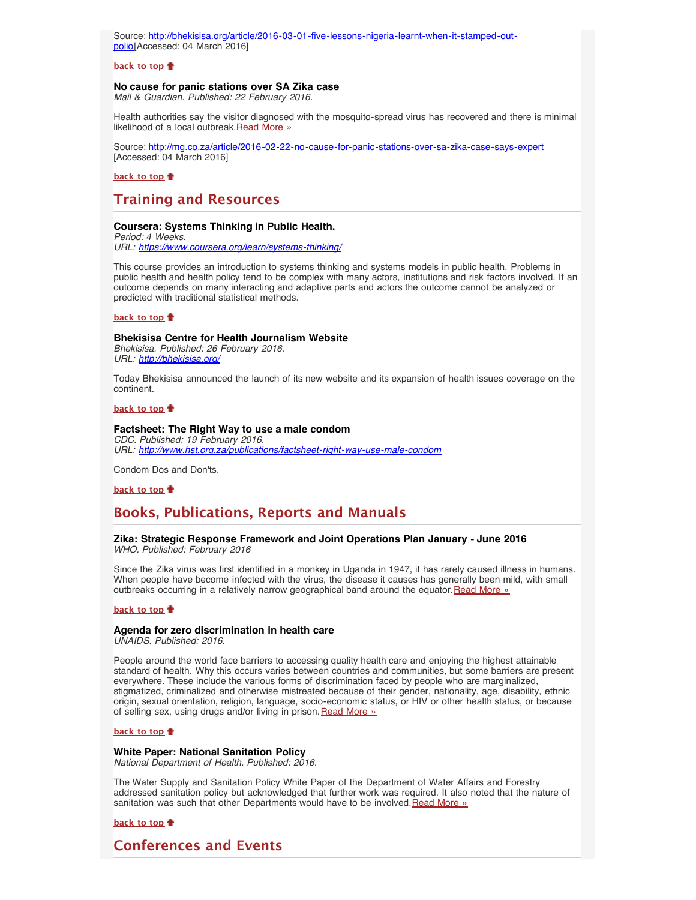Source: [http://bhekisisa.org/article/2016-03-01-five-lessons-nigeria-learnt-when-it-stamped-out](http://bhekisisa.org/article/2016-03-01-five-lessons-nigeria-learnt-when-it-stamped-out-polio)[polio](http://bhekisisa.org/article/2016-03-01-five-lessons-nigeria-learnt-when-it-stamped-out-polio)[Accessed: 04 March 2016]

#### **[back to top](#page-0-3)**

## <span id="page-3-0"></span>**No cause for panic stations over SA Zika case**

*Mail & Guardian. Published: 22 February 2016.*

Health authorities say the visitor diagnosed with the mosquito-spread virus has recovered and there is minimal likelihood of a local outbreak. [Read More »](http://www.hst.org.za/news/no-cause-panic-stations-over-sa-zika-case-says-expert)

Source: <http://mg.co.za/article/2016-02-22-no-cause-for-panic-stations-over-sa-zika-case-says-expert> [Accessed: 04 March 2016]

**[back to top](#page-0-3)**

# **Training and Resources**

## **Coursera: Systems Thinking in Public Health.**

*Period: 4 Weeks. URL: <https://www.coursera.org/learn/systems-thinking/>*

This course provides an introduction to systems thinking and systems models in public health. Problems in public health and health policy tend to be complex with many actors, institutions and risk factors involved. If an outcome depends on many interacting and adaptive parts and actors the outcome cannot be analyzed or predicted with traditional statistical methods.

**[back to top](#page-0-3)**

#### **Bhekisisa Centre for Health Journalism Website**

*Bhekisisa. Published: 26 February 2016. URL: <http://bhekisisa.org/>*

Today Bhekisisa announced the launch of its new website and its expansion of health issues coverage on the continent.

**[back to top](#page-0-3)**

### <span id="page-3-1"></span>**Factsheet: The Right Way to use a male condom**

*CDC. Published: 19 February 2016. URL: <http://www.hst.org.za/publications/factsheet-right-way-use-male-condom>*

Condom Dos and Don'ts.

**[back to top](#page-0-3)**

# <span id="page-3-2"></span>**Books, Publications, Reports and Manuals**

## **Zika: Strategic Response Framework and Joint Operations Plan January - June 2016** *WHO. Published: February 2016*

Since the Zika virus was first identified in a monkey in Uganda in 1947, it has rarely caused illness in humans. When people have become infected with the virus, the disease it causes has generally been mild, with small outbreaks occurring in a relatively narrow geographical band around the equator. [Read More »](http://www.hst.org.za/publications/zika-strategic-response-framework-and-joint-operations-plan-january-june-2016)

#### **[back to top](#page-0-3)**

## **Agenda for zero discrimination in health care**

*UNAIDS. Published: 2016.*

People around the world face barriers to accessing quality health care and enjoying the highest attainable standard of health. Why this occurs varies between countries and communities, but some barriers are present everywhere. These include the various forms of discrimination faced by people who are marginalized, stigmatized, criminalized and otherwise mistreated because of their gender, nationality, age, disability, ethnic origin, sexual orientation, religion, language, socio-economic status, or HIV or other health status, or because of selling sex, using drugs and/or living in prison. [Read More »](http://www.hst.org.za/publications/agenda-zero-discrimination-health-care)

#### **[back to top](#page-0-3)**

## <span id="page-3-3"></span>**White Paper: National Sanitation Policy**

*National Department of Health. Published: 2016.*

The Water Supply and Sanitation Policy White Paper of the Department of Water Affairs and Forestry addressed sanitation policy but acknowledged that further work was required. It also noted that the nature of sanitation was such that other Departments would have to be involved. [Read More »](http://www.hst.org.za/publications/white-paper-national-sanitation-policy)

**[back to top](#page-0-3)**

<span id="page-3-4"></span>**Conferences and Events**